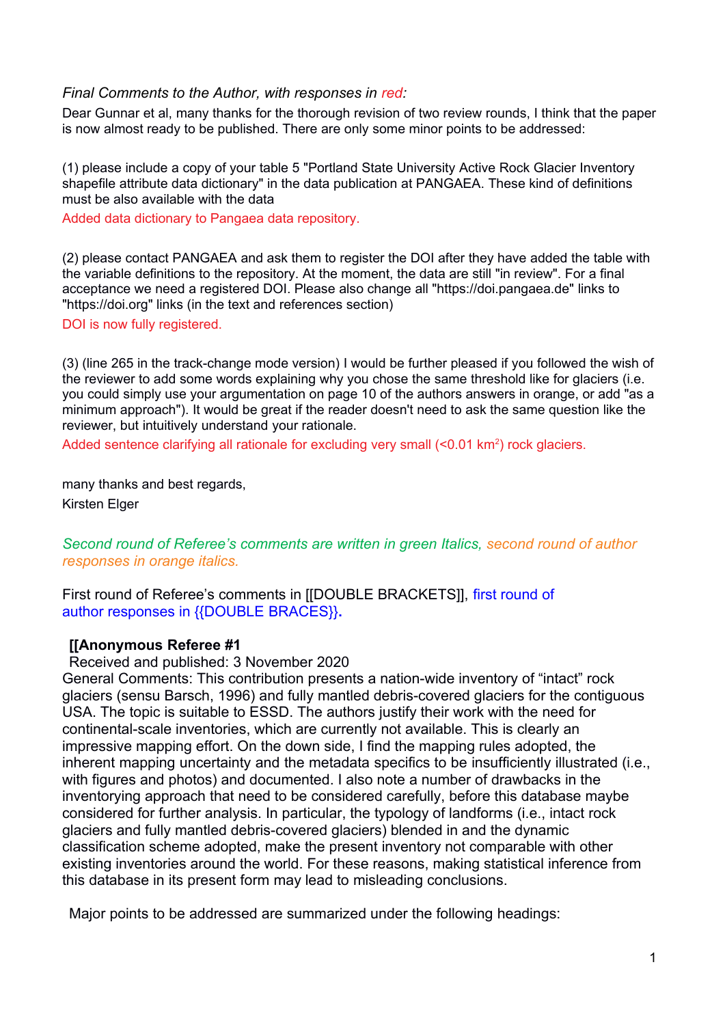#### *Final Comments to the Author, with responses in red:*

Dear Gunnar et al, many thanks for the thorough revision of two review rounds. I think that the paper is now almost ready to be published. There are only some minor points to be addressed:

(1) please include a copy of your table 5 "Portland State University Active Rock Glacier Inventory shapefile attribute data dictionary" in the data publication at PANGAEA. These kind of definitions must be also available with the data

Added data dictionary to Pangaea data repository.

(2) please contact PANGAEA and ask them to register the DOI after they have added the table with the variable definitions to the repository. At the moment, the data are still "in review". For a final acceptance we need a registered DOI. Please also change all "https://doi.pangaea.de" links to "https://doi.org" links (in the text and references section)

DOI is now fully registered.

(3) (line 265 in the track-change mode version) I would be further pleased if you followed the wish of the reviewer to add some words explaining why you chose the same threshold like for glaciers (i.e. you could simply use your argumentation on page 10 of the authors answers in orange, or add "as a minimum approach"). It would be great if the reader doesn't need to ask the same question like the reviewer, but intuitively understand your rationale.

Added sentence clarifying all rationale for excluding very small (<0.01 km<sup>2</sup>) rock glaciers.

many thanks and best regards, Kirsten Elger

# *Second round of Referee's comments are written in green Italics, second round of author responses in orange italics.*

First round of Referee's comments in [[DOUBLE BRACKETS]], first round of author responses in {{DOUBLE BRACES}}**.**

## **[[Anonymous Referee #1**

Received and published: 3 November 2020

General Comments: This contribution presents a nation-wide inventory of "intact" rock glaciers (sensu Barsch, 1996) and fully mantled debris-covered glaciers for the contiguous USA. The topic is suitable to ESSD. The authors justify their work with the need for continental-scale inventories, which are currently not available. This is clearly an impressive mapping effort. On the down side, I find the mapping rules adopted, the inherent mapping uncertainty and the metadata specifics to be insufficiently illustrated (i.e., with figures and photos) and documented. I also note a number of drawbacks in the inventorying approach that need to be considered carefully, before this database maybe considered for further analysis. In particular, the typology of landforms (i.e., intact rock glaciers and fully mantled debris-covered glaciers) blended in and the dynamic classification scheme adopted, make the present inventory not comparable with other existing inventories around the world. For these reasons, making statistical inference from this database in its present form may lead to misleading conclusions.

Major points to be addressed are summarized under the following headings: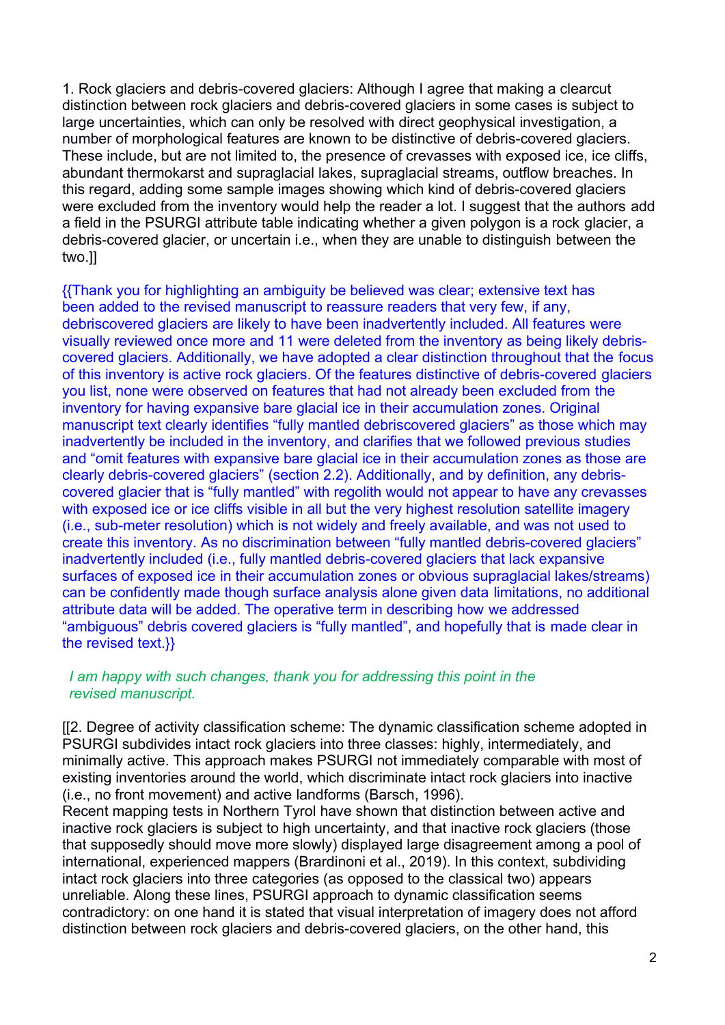1. Rock glaciers and debris-covered glaciers: Although I agree that making a clearcut distinction between rock glaciers and debris-covered glaciers in some cases is subject to large uncertainties, which can only be resolved with direct geophysical investigation, a number of morphological features are known to be distinctive of debris-covered glaciers. These include, but are not limited to, the presence of crevasses with exposed ice, ice cliffs, abundant thermokarst and supraglacial lakes, supraglacial streams, outflow breaches. In this regard, adding some sample images showing which kind of debris-covered glaciers were excluded from the inventory would help the reader a lot. I suggest that the authors add a field in the PSURGI attribute table indicating whether a given polygon is a rock glacier, a debris-covered glacier, or uncertain i.e., when they are unable to distinguish between the two.]]

{{Thank you for highlighting an ambiguity be believed was clear; extensive text has been added to the revised manuscript to reassure readers that very few, if any, debriscovered glaciers are likely to have been inadvertently included. All features were visually reviewed once more and 11 were deleted from the inventory as being likely debriscovered glaciers. Additionally, we have adopted a clear distinction throughout that the focus of this inventory is active rock glaciers. Of the features distinctive of debris-covered glaciers you list, none were observed on features that had not already been excluded from the inventory for having expansive bare glacial ice in their accumulation zones. Original manuscript text clearly identifies "fully mantled debriscovered glaciers" as those which may inadvertently be included in the inventory, and clarifies that we followed previous studies and "omit features with expansive bare glacial ice in their accumulation zones as those are clearly debris-covered glaciers" (section 2.2). Additionally, and by definition, any debriscovered glacier that is "fully mantled" with regolith would not appear to have any crevasses with exposed ice or ice cliffs visible in all but the very highest resolution satellite imagery (i.e., sub-meter resolution) which is not widely and freely available, and was not used to create this inventory. As no discrimination between "fully mantled debris-covered glaciers" inadvertently included (i.e., fully mantled debris-covered glaciers that lack expansive surfaces of exposed ice in their accumulation zones or obvious supraglacial lakes/streams) can be confidently made though surface analysis alone given data limitations, no additional attribute data will be added. The operative term in describing how we addressed "ambiguous" debris covered glaciers is "fully mantled", and hopefully that is made clear in the revised text.}}

### *I am happy with such changes, thank you for addressing this point in the revised manuscript.*

[[2. Degree of activity classification scheme: The dynamic classification scheme adopted in PSURGI subdivides intact rock glaciers into three classes: highly, intermediately, and minimally active. This approach makes PSURGI not immediately comparable with most of existing inventories around the world, which discriminate intact rock glaciers into inactive (i.e., no front movement) and active landforms (Barsch, 1996).

Recent mapping tests in Northern Tyrol have shown that distinction between active and inactive rock glaciers is subject to high uncertainty, and that inactive rock glaciers (those that supposedly should move more slowly) displayed large disagreement among a pool of international, experienced mappers (Brardinoni et al., 2019). In this context, subdividing intact rock glaciers into three categories (as opposed to the classical two) appears unreliable. Along these lines, PSURGI approach to dynamic classification seems contradictory: on one hand it is stated that visual interpretation of imagery does not afford distinction between rock glaciers and debris-covered glaciers, on the other hand, this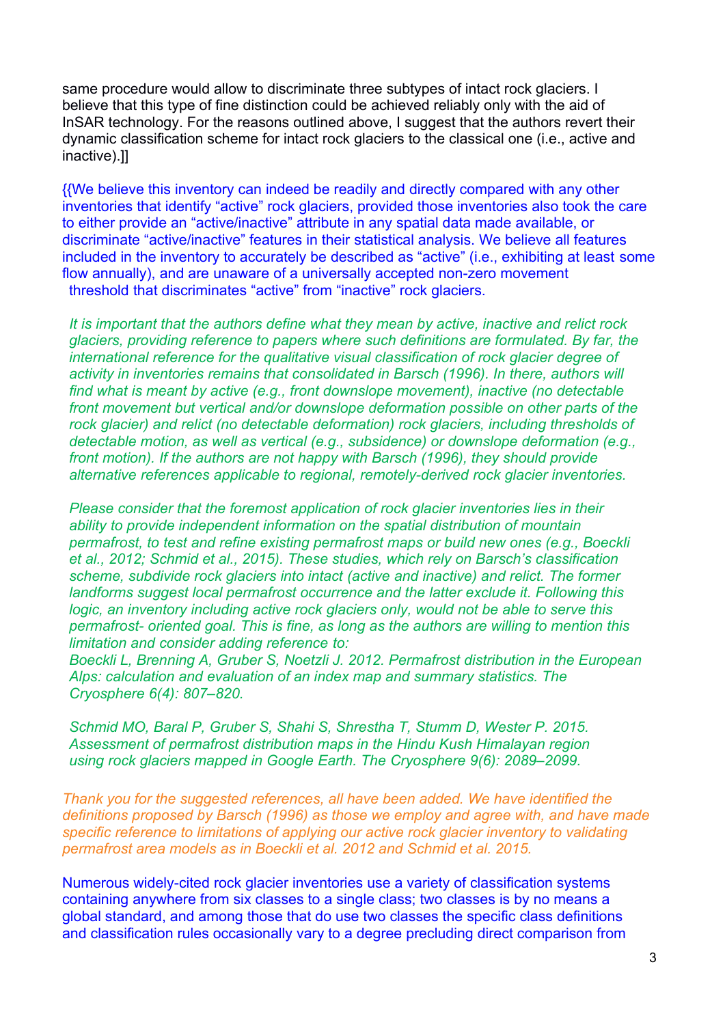same procedure would allow to discriminate three subtypes of intact rock glaciers. I believe that this type of fine distinction could be achieved reliably only with the aid of InSAR technology. For the reasons outlined above, I suggest that the authors revert their dynamic classification scheme for intact rock glaciers to the classical one (i.e., active and inactive).]]

{{We believe this inventory can indeed be readily and directly compared with any other inventories that identify "active" rock glaciers, provided those inventories also took the care to either provide an "active/inactive" attribute in any spatial data made available, or discriminate "active/inactive" features in their statistical analysis. We believe all features included in the inventory to accurately be described as "active" (i.e., exhibiting at least some flow annually), and are unaware of a universally accepted non-zero movement threshold that discriminates "active" from "inactive" rock glaciers.

*It is important that the authors define what they mean by active, inactive and relict rock glaciers, providing reference to papers where such definitions are formulated. By far, the international reference for the qualitative visual classification of rock glacier degree of activity in inventories remains that consolidated in Barsch (1996). In there, authors will find what is meant by active (e.g., front downslope movement), inactive (no detectable front movement but vertical and/or downslope deformation possible on other parts of the rock glacier) and relict (no detectable deformation) rock glaciers, including thresholds of detectable motion, as well as vertical (e.g., subsidence) or downslope deformation (e.g., front motion). If the authors are not happy with Barsch (1996), they should provide alternative references applicable to regional, remotely-derived rock glacier inventories.*

*Please consider that the foremost application of rock glacier inventories lies in their ability to provide independent information on the spatial distribution of mountain permafrost, to test and refine existing permafrost maps or build new ones (e.g., Boeckli et al., 2012; Schmid et al., 2015). These studies, which rely on Barsch's classification scheme, subdivide rock glaciers into intact (active and inactive) and relict. The former landforms suggest local permafrost occurrence and the latter exclude it. Following this logic, an inventory including active rock glaciers only, would not be able to serve this permafrost- oriented goal. This is fine, as long as the authors are willing to mention this limitation and consider adding reference to:*

*Boeckli L, Brenning A, Gruber S, Noetzli J. 2012. Permafrost distribution in the European Alps: calculation and evaluation of an index map and summary statistics. The Cryosphere 6(4): 807–820.*

*Schmid MO, Baral P, Gruber S, Shahi S, Shrestha T, Stumm D, Wester P. 2015. Assessment of permafrost distribution maps in the Hindu Kush Himalayan region using rock glaciers mapped in Google Earth. The Cryosphere 9(6): 2089–2099.*

*Thank you for the suggested references, all have been added. We have identified the definitions proposed by Barsch (1996) as those we employ and agree with, and have made specific reference to limitations of applying our active rock glacier inventory to validating permafrost area models as in Boeckli et al. 2012 and Schmid et al. 2015.*

Numerous widely-cited rock glacier inventories use a variety of classification systems containing anywhere from six classes to a single class; two classes is by no means a global standard, and among those that do use two classes the specific class definitions and classification rules occasionally vary to a degree precluding direct comparison from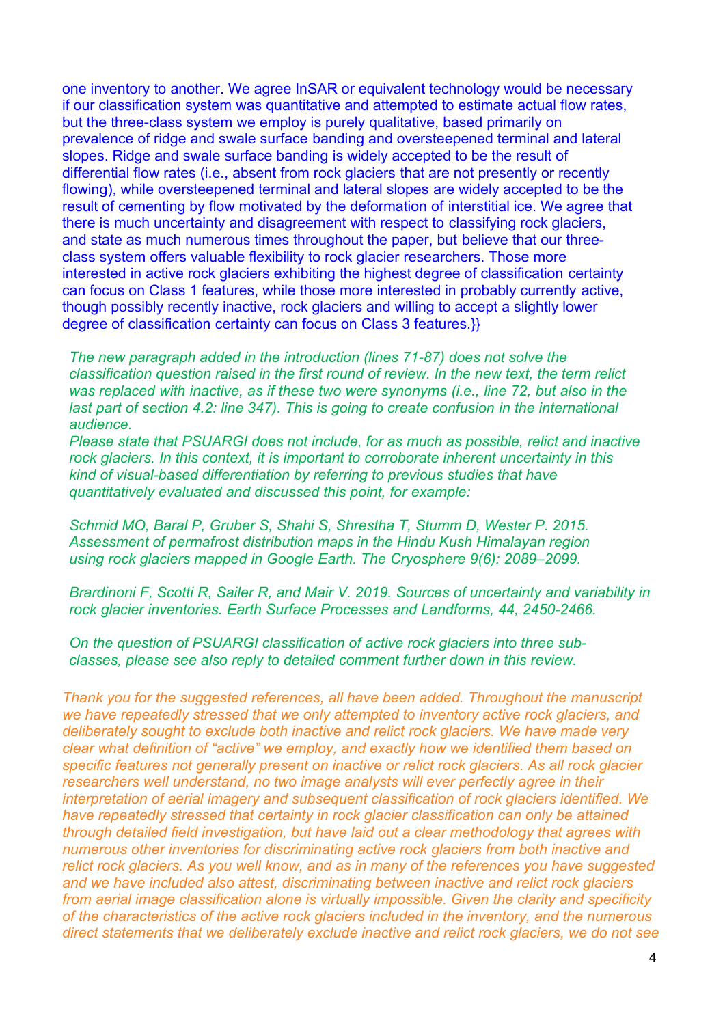one inventory to another. We agree InSAR or equivalent technology would be necessary if our classification system was quantitative and attempted to estimate actual flow rates, but the three-class system we employ is purely qualitative, based primarily on prevalence of ridge and swale surface banding and oversteepened terminal and lateral slopes. Ridge and swale surface banding is widely accepted to be the result of differential flow rates (i.e., absent from rock glaciers that are not presently or recently flowing), while oversteepened terminal and lateral slopes are widely accepted to be the result of cementing by flow motivated by the deformation of interstitial ice. We agree that there is much uncertainty and disagreement with respect to classifying rock glaciers, and state as much numerous times throughout the paper, but believe that our threeclass system offers valuable flexibility to rock glacier researchers. Those more interested in active rock glaciers exhibiting the highest degree of classification certainty can focus on Class 1 features, while those more interested in probably currently active, though possibly recently inactive, rock glaciers and willing to accept a slightly lower degree of classification certainty can focus on Class 3 features.}}

*The new paragraph added in the introduction (lines 71-87) does not solve the classification question raised in the first round of review. In the new text, the term relict was replaced with inactive, as if these two were synonyms (i.e., line 72, but also in the last part of section 4.2: line 347). This is going to create confusion in the international audience.*

*Please state that PSUARGI does not include, for as much as possible, relict and inactive rock glaciers. In this context, it is important to corroborate inherent uncertainty in this kind of visual-based differentiation by referring to previous studies that have quantitatively evaluated and discussed this point, for example:*

*Schmid MO, Baral P, Gruber S, Shahi S, Shrestha T, Stumm D, Wester P. 2015. Assessment of permafrost distribution maps in the Hindu Kush Himalayan region using rock glaciers mapped in Google Earth. The Cryosphere 9(6): 2089–2099.*

*Brardinoni F, Scotti R, Sailer R, and Mair V. 2019. Sources of uncertainty and variability in rock glacier inventories. Earth Surface Processes and Landforms, 44, 2450-2466.*

*On the question of PSUARGI classification of active rock glaciers into three subclasses, please see also reply to detailed comment further down in this review.* 

*Thank you for the suggested references, all have been added. Throughout the manuscript we have repeatedly stressed that we only attempted to inventory active rock glaciers, and deliberately sought to exclude both inactive and relict rock glaciers. We have made very clear what definition of "active" we employ, and exactly how we identified them based on specific features not generally present on inactive or relict rock glaciers. As all rock glacier researchers well understand, no two image analysts will ever perfectly agree in their interpretation of aerial imagery and subsequent classification of rock glaciers identified. We have repeatedly stressed that certainty in rock glacier classification can only be attained through detailed field investigation, but have laid out a clear methodology that agrees with numerous other inventories for discriminating active rock glaciers from both inactive and relict rock glaciers. As you well know, and as in many of the references you have suggested and we have included also attest, discriminating between inactive and relict rock glaciers from aerial image classification alone is virtually impossible. Given the clarity and specificity of the characteristics of the active rock glaciers included in the inventory, and the numerous direct statements that we deliberately exclude inactive and relict rock glaciers, we do not see*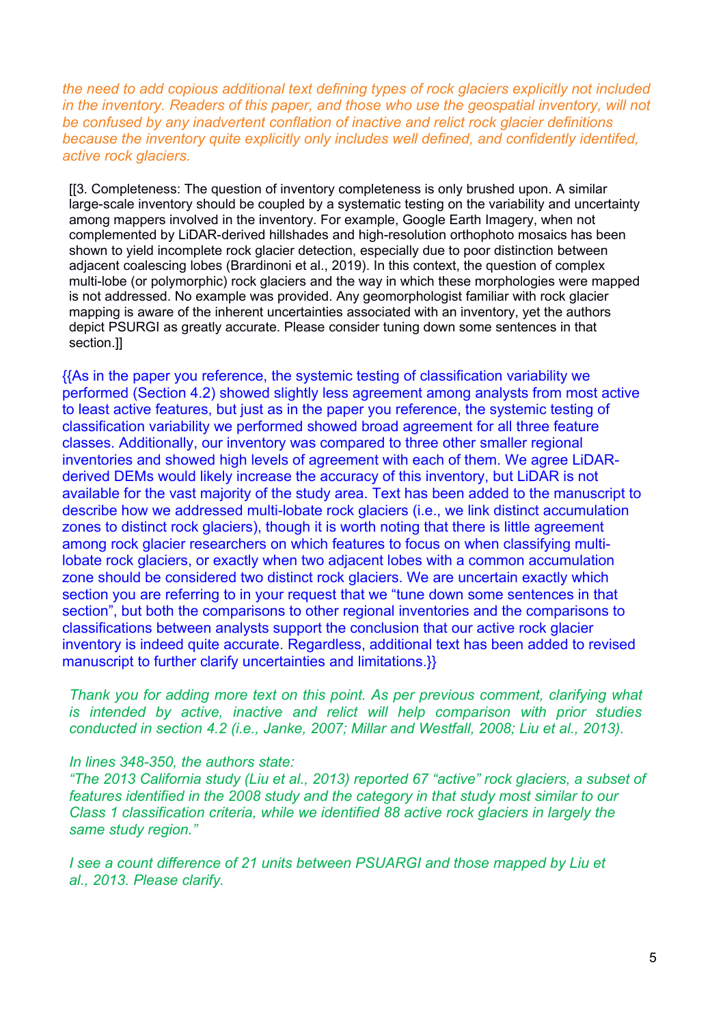*the need to add copious additional text defining types of rock glaciers explicitly not included in the inventory. Readers of this paper, and those who use the geospatial inventory, will not be confused by any inadvertent conflation of inactive and relict rock glacier definitions because the inventory quite explicitly only includes well defined, and confidently identifed, active rock glaciers.*

[[3. Completeness: The question of inventory completeness is only brushed upon. A similar large-scale inventory should be coupled by a systematic testing on the variability and uncertainty among mappers involved in the inventory. For example, Google Earth Imagery, when not complemented by LiDAR-derived hillshades and high-resolution orthophoto mosaics has been shown to yield incomplete rock glacier detection, especially due to poor distinction between adjacent coalescing lobes (Brardinoni et al., 2019). In this context, the question of complex multi-lobe (or polymorphic) rock glaciers and the way in which these morphologies were mapped is not addressed. No example was provided. Any geomorphologist familiar with rock glacier mapping is aware of the inherent uncertainties associated with an inventory, yet the authors depict PSURGI as greatly accurate. Please consider tuning down some sentences in that section.]]

{{As in the paper you reference, the systemic testing of classification variability we performed (Section 4.2) showed slightly less agreement among analysts from most active to least active features, but just as in the paper you reference, the systemic testing of classification variability we performed showed broad agreement for all three feature classes. Additionally, our inventory was compared to three other smaller regional inventories and showed high levels of agreement with each of them. We agree LiDARderived DEMs would likely increase the accuracy of this inventory, but LiDAR is not available for the vast majority of the study area. Text has been added to the manuscript to describe how we addressed multi-lobate rock glaciers (i.e., we link distinct accumulation zones to distinct rock glaciers), though it is worth noting that there is little agreement among rock glacier researchers on which features to focus on when classifying multilobate rock glaciers, or exactly when two adjacent lobes with a common accumulation zone should be considered two distinct rock glaciers. We are uncertain exactly which section you are referring to in your request that we "tune down some sentences in that section", but both the comparisons to other regional inventories and the comparisons to classifications between analysts support the conclusion that our active rock glacier inventory is indeed quite accurate. Regardless, additional text has been added to revised manuscript to further clarify uncertainties and limitations.}}

*Thank you for adding more text on this point. As per previous comment, clarifying what is intended by active, inactive and relict will help comparison with prior studies conducted in section 4.2 (i.e., Janke, 2007; Millar and Westfall, 2008; Liu et al., 2013).*

#### *In lines 348-350, the authors state:*

*"The 2013 California study (Liu et al., 2013) reported 67 "active" rock glaciers, a subset of features identified in the 2008 study and the category in that study most similar to our Class 1 classification criteria, while we identified 88 active rock glaciers in largely the same study region."*

*I* see a count difference of 21 units between PSUARGI and those mapped by Liu et *al., 2013. Please clarify.*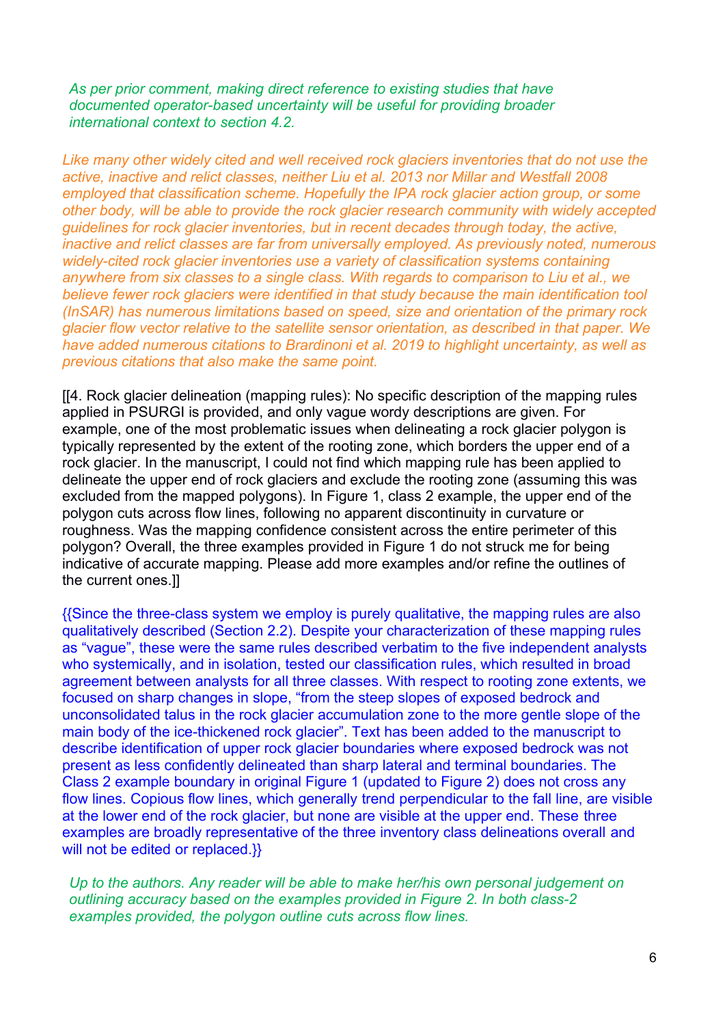*As per prior comment, making direct reference to existing studies that have documented operator-based uncertainty will be useful for providing broader international context to section 4.2.*

*Like many other widely cited and well received rock glaciers inventories that do not use the active, inactive and relict classes, neither Liu et al. 2013 nor Millar and Westfall 2008*  employed that classification scheme. Hopefully the IPA rock glacier action group, or some *other body, will be able to provide the rock glacier research community with widely accepted guidelines for rock glacier inventories, but in recent decades through today, the active, inactive and relict classes are far from universally employed. As previously noted, numerous widely-cited rock glacier inventories use a variety of classification systems containing anywhere from six classes to a single class. With regards to comparison to Liu et al., we believe fewer rock glaciers were identified in that study because the main identification tool (InSAR) has numerous limitations based on speed, size and orientation of the primary rock glacier flow vector relative to the satellite sensor orientation, as described in that paper. We have added numerous citations to Brardinoni et al. 2019 to highlight uncertainty, as well as previous citations that also make the same point.* 

[[4. Rock glacier delineation (mapping rules): No specific description of the mapping rules applied in PSURGI is provided, and only vague wordy descriptions are given. For example, one of the most problematic issues when delineating a rock glacier polygon is typically represented by the extent of the rooting zone, which borders the upper end of a rock glacier. In the manuscript, I could not find which mapping rule has been applied to delineate the upper end of rock glaciers and exclude the rooting zone (assuming this was excluded from the mapped polygons). In Figure 1, class 2 example, the upper end of the polygon cuts across flow lines, following no apparent discontinuity in curvature or roughness. Was the mapping confidence consistent across the entire perimeter of this polygon? Overall, the three examples provided in Figure 1 do not struck me for being indicative of accurate mapping. Please add more examples and/or refine the outlines of the current ones.]]

{{Since the three-class system we employ is purely qualitative, the mapping rules are also qualitatively described (Section 2.2). Despite your characterization of these mapping rules as "vague", these were the same rules described verbatim to the five independent analysts who systemically, and in isolation, tested our classification rules, which resulted in broad agreement between analysts for all three classes. With respect to rooting zone extents, we focused on sharp changes in slope, "from the steep slopes of exposed bedrock and unconsolidated talus in the rock glacier accumulation zone to the more gentle slope of the main body of the ice-thickened rock glacier". Text has been added to the manuscript to describe identification of upper rock glacier boundaries where exposed bedrock was not present as less confidently delineated than sharp lateral and terminal boundaries. The Class 2 example boundary in original Figure 1 (updated to Figure 2) does not cross any flow lines. Copious flow lines, which generally trend perpendicular to the fall line, are visible at the lower end of the rock glacier, but none are visible at the upper end. These three examples are broadly representative of the three inventory class delineations overall and will not be edited or replaced.}}

*Up to the authors. Any reader will be able to make her/his own personal judgement on outlining accuracy based on the examples provided in Figure 2. In both class-2 examples provided, the polygon outline cuts across flow lines.*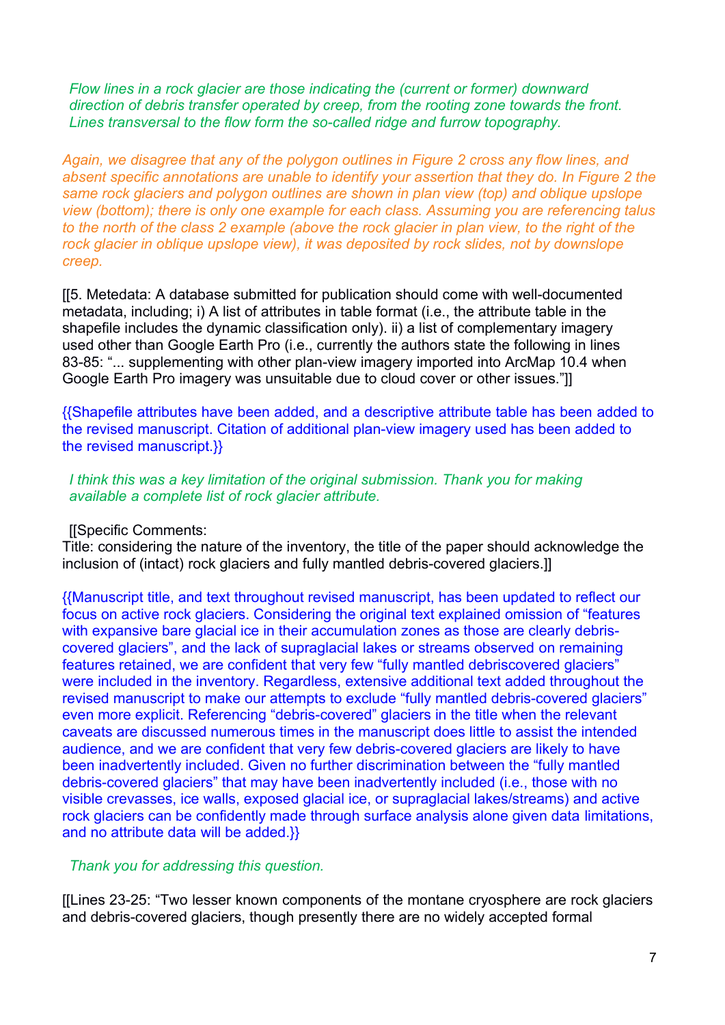*Flow lines in a rock glacier are those indicating the (current or former) downward direction of debris transfer operated by creep, from the rooting zone towards the front. Lines transversal to the flow form the so-called ridge and furrow topography.*

*Again, we disagree that any of the polygon outlines in Figure 2 cross any flow lines, and absent specific annotations are unable to identify your assertion that they do. In Figure 2 the same rock glaciers and polygon outlines are shown in plan view (top) and oblique upslope view (bottom); there is only one example for each class. Assuming you are referencing talus to the north of the class 2 example (above the rock glacier in plan view, to the right of the rock glacier in oblique upslope view), it was deposited by rock slides, not by downslope creep.* 

[[5. Metedata: A database submitted for publication should come with well-documented metadata, including; i) A list of attributes in table format (i.e., the attribute table in the shapefile includes the dynamic classification only). ii) a list of complementary imagery used other than Google Earth Pro (i.e., currently the authors state the following in lines 83-85: "... supplementing with other plan-view imagery imported into ArcMap 10.4 when Google Earth Pro imagery was unsuitable due to cloud cover or other issues."]]

{{Shapefile attributes have been added, and a descriptive attribute table has been added to the revised manuscript. Citation of additional plan-view imagery used has been added to the revised manuscript.}}

*I think this was a key limitation of the original submission. Thank you for making available a complete list of rock glacier attribute.*

#### [[Specific Comments:

Title: considering the nature of the inventory, the title of the paper should acknowledge the inclusion of (intact) rock glaciers and fully mantled debris-covered glaciers.]]

{{Manuscript title, and text throughout revised manuscript, has been updated to reflect our focus on active rock glaciers. Considering the original text explained omission of "features with expansive bare glacial ice in their accumulation zones as those are clearly debriscovered glaciers", and the lack of supraglacial lakes or streams observed on remaining features retained, we are confident that very few "fully mantled debriscovered glaciers" were included in the inventory. Regardless, extensive additional text added throughout the revised manuscript to make our attempts to exclude "fully mantled debris-covered glaciers" even more explicit. Referencing "debris-covered" glaciers in the title when the relevant caveats are discussed numerous times in the manuscript does little to assist the intended audience, and we are confident that very few debris-covered glaciers are likely to have been inadvertently included. Given no further discrimination between the "fully mantled debris-covered glaciers" that may have been inadvertently included (i.e., those with no visible crevasses, ice walls, exposed glacial ice, or supraglacial lakes/streams) and active rock glaciers can be confidently made through surface analysis alone given data limitations, and no attribute data will be added.}}

## *Thank you for addressing this question.*

[[Lines 23-25: "Two lesser known components of the montane cryosphere are rock glaciers and debris-covered glaciers, though presently there are no widely accepted formal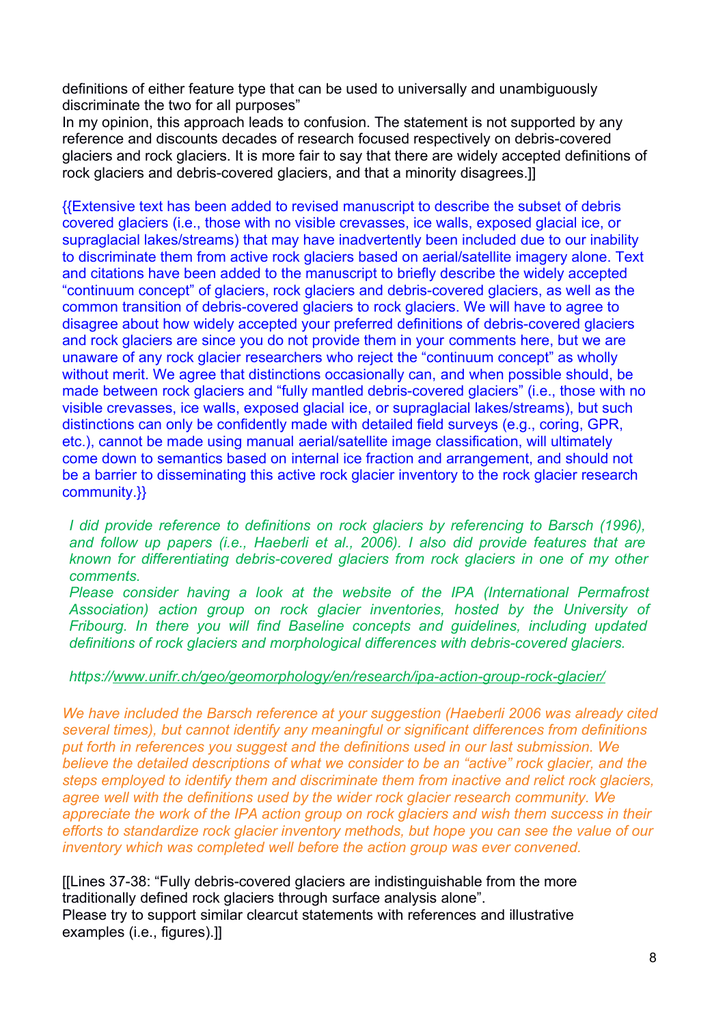definitions of either feature type that can be used to universally and unambiguously discriminate the two for all purposes"

In my opinion, this approach leads to confusion. The statement is not supported by any reference and discounts decades of research focused respectively on debris-covered glaciers and rock glaciers. It is more fair to say that there are widely accepted definitions of rock glaciers and debris-covered glaciers, and that a minority disagrees.]]

{{Extensive text has been added to revised manuscript to describe the subset of debris covered glaciers (i.e., those with no visible crevasses, ice walls, exposed glacial ice, or supraglacial lakes/streams) that may have inadvertently been included due to our inability to discriminate them from active rock glaciers based on aerial/satellite imagery alone. Text and citations have been added to the manuscript to briefly describe the widely accepted "continuum concept" of glaciers, rock glaciers and debris-covered glaciers, as well as the common transition of debris-covered glaciers to rock glaciers. We will have to agree to disagree about how widely accepted your preferred definitions of debris-covered glaciers and rock glaciers are since you do not provide them in your comments here, but we are unaware of any rock glacier researchers who reject the "continuum concept" as wholly without merit. We agree that distinctions occasionally can, and when possible should, be made between rock glaciers and "fully mantled debris-covered glaciers" (i.e., those with no visible crevasses, ice walls, exposed glacial ice, or supraglacial lakes/streams), but such distinctions can only be confidently made with detailed field surveys (e.g., coring, GPR, etc.), cannot be made using manual aerial/satellite image classification, will ultimately come down to semantics based on internal ice fraction and arrangement, and should not be a barrier to disseminating this active rock glacier inventory to the rock glacier research community.}}

*I did provide reference to definitions on rock glaciers by referencing to Barsch (1996), and follow up papers (i.e., Haeberli et al., 2006). I also did provide features that are known for differentiating debris-covered glaciers from rock glaciers in one of my other comments.*

*Please consider having a look at the website of the IPA (International Permafrost Association) action group on rock glacier inventories, hosted by the University of Fribourg. In there you will find Baseline concepts and guidelines, including updated definitions of rock glaciers and morphological differences with debris-covered glaciers.*

#### *https:/[/www.unifr.ch/geo/geomorphology/en/research/ipa-action-group-rock-glacier/](http://www.unifr.ch/geo/geomorphology/en/research/ipa-action-group-rock-glacier/)*

*We have included the Barsch reference at your suggestion (Haeberli 2006 was already cited several times), but cannot identify any meaningful or significant differences from definitions put forth in references you suggest and the definitions used in our last submission. We believe the detailed descriptions of what we consider to be an "active" rock glacier, and the steps employed to identify them and discriminate them from inactive and relict rock glaciers, agree well with the definitions used by the wider rock glacier research community. We appreciate the work of the IPA action group on rock glaciers and wish them success in their efforts to standardize rock glacier inventory methods, but hope you can see the value of our inventory which was completed well before the action group was ever convened.* 

[[Lines 37-38: "Fully debris-covered glaciers are indistinguishable from the more traditionally defined rock glaciers through surface analysis alone". Please try to support similar clearcut statements with references and illustrative examples (i.e., figures).]]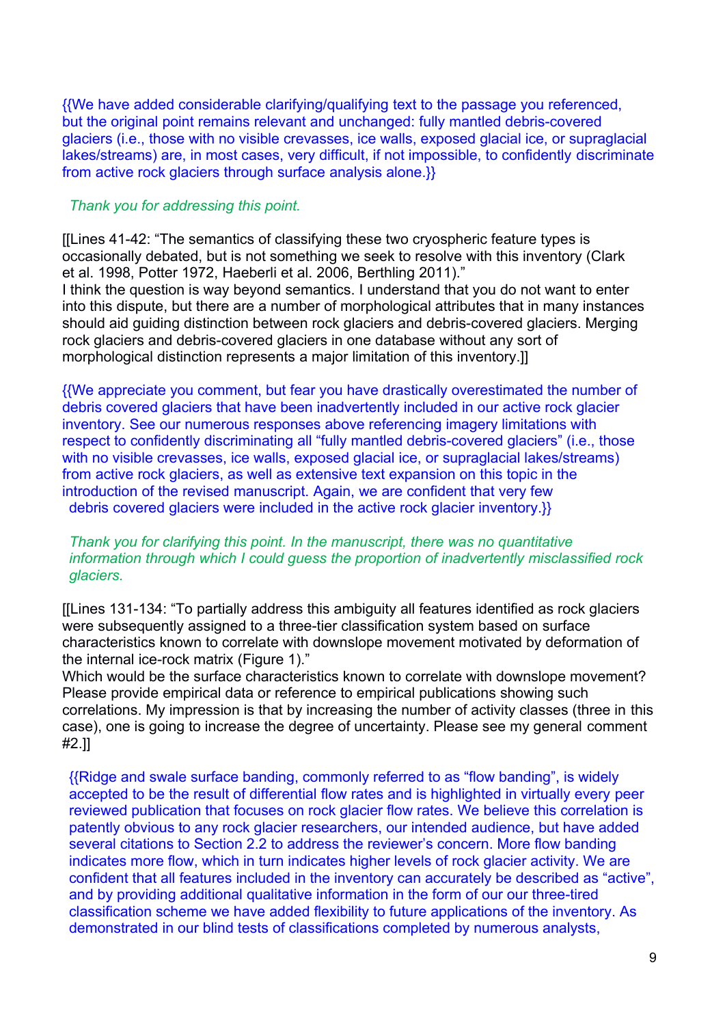{{We have added considerable clarifying/qualifying text to the passage you referenced, but the original point remains relevant and unchanged: fully mantled debris-covered glaciers (i.e., those with no visible crevasses, ice walls, exposed glacial ice, or supraglacial lakes/streams) are, in most cases, very difficult, if not impossible, to confidently discriminate from active rock glaciers through surface analysis alone.}}

## *Thank you for addressing this point.*

[[Lines 41-42: "The semantics of classifying these two cryospheric feature types is occasionally debated, but is not something we seek to resolve with this inventory (Clark et al. 1998, Potter 1972, Haeberli et al. 2006, Berthling 2011)." I think the question is way beyond semantics. I understand that you do not want to enter into this dispute, but there are a number of morphological attributes that in many instances should aid guiding distinction between rock glaciers and debris-covered glaciers. Merging rock glaciers and debris-covered glaciers in one database without any sort of morphological distinction represents a major limitation of this inventory.]]

{{We appreciate you comment, but fear you have drastically overestimated the number of debris covered glaciers that have been inadvertently included in our active rock glacier inventory. See our numerous responses above referencing imagery limitations with respect to confidently discriminating all "fully mantled debris-covered glaciers" (i.e., those with no visible crevasses, ice walls, exposed glacial ice, or supraglacial lakes/streams) from active rock glaciers, as well as extensive text expansion on this topic in the introduction of the revised manuscript. Again, we are confident that very few debris covered glaciers were included in the active rock glacier inventory.}}

# *Thank you for clarifying this point. In the manuscript, there was no quantitative information through which I could guess the proportion of inadvertently misclassified rock glaciers.*

[[Lines 131-134: "To partially address this ambiguity all features identified as rock glaciers were subsequently assigned to a three-tier classification system based on surface characteristics known to correlate with downslope movement motivated by deformation of the internal ice-rock matrix (Figure 1)."

Which would be the surface characteristics known to correlate with downslope movement? Please provide empirical data or reference to empirical publications showing such correlations. My impression is that by increasing the number of activity classes (three in this case), one is going to increase the degree of uncertainty. Please see my general comment #2.]]

{{Ridge and swale surface banding, commonly referred to as "flow banding", is widely accepted to be the result of differential flow rates and is highlighted in virtually every peer reviewed publication that focuses on rock glacier flow rates. We believe this correlation is patently obvious to any rock glacier researchers, our intended audience, but have added several citations to Section 2.2 to address the reviewer's concern. More flow banding indicates more flow, which in turn indicates higher levels of rock glacier activity. We are confident that all features included in the inventory can accurately be described as "active", and by providing additional qualitative information in the form of our our three-tired classification scheme we have added flexibility to future applications of the inventory. As demonstrated in our blind tests of classifications completed by numerous analysts,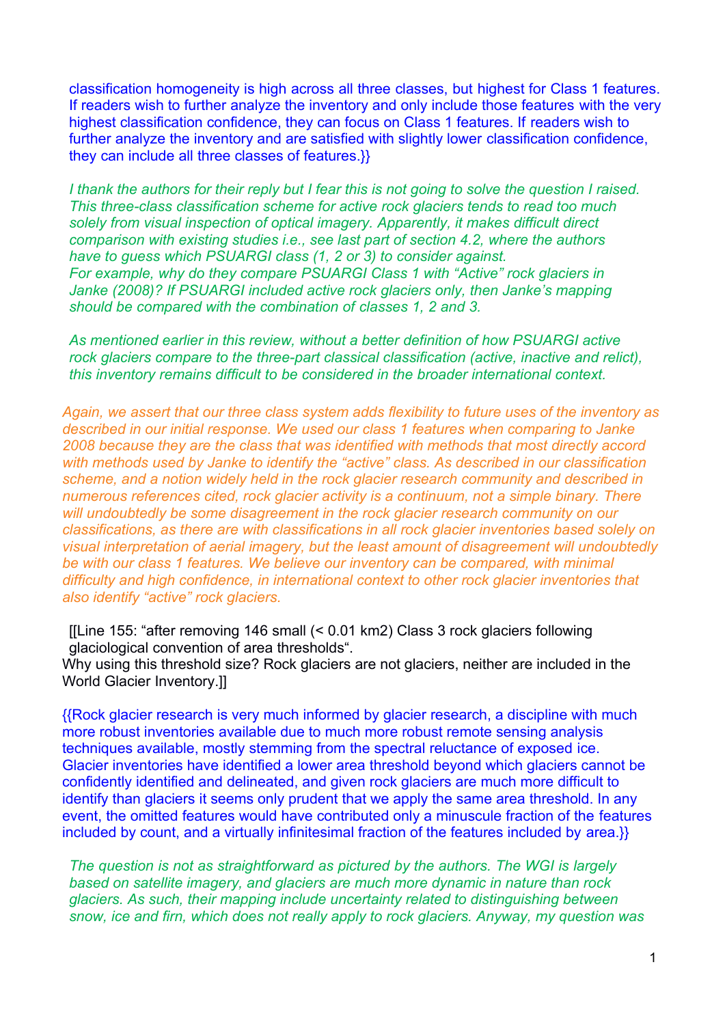classification homogeneity is high across all three classes, but highest for Class 1 features. If readers wish to further analyze the inventory and only include those features with the very highest classification confidence, they can focus on Class 1 features. If readers wish to further analyze the inventory and are satisfied with slightly lower classification confidence, they can include all three classes of features.}}

*I thank the authors for their reply but I fear this is not going to solve the question I raised. This three-class classification scheme for active rock glaciers tends to read too much solely from visual inspection of optical imagery. Apparently, it makes difficult direct comparison with existing studies i.e., see last part of section 4.2, where the authors have to guess which PSUARGI class (1, 2 or 3) to consider against. For example, why do they compare PSUARGI Class 1 with "Active" rock glaciers in Janke (2008)? If PSUARGI included active rock glaciers only, then Janke's mapping should be compared with the combination of classes 1, 2 and 3.*

*As mentioned earlier in this review, without a better definition of how PSUARGI active rock glaciers compare to the three-part classical classification (active, inactive and relict), this inventory remains difficult to be considered in the broader international context.*

*Again, we assert that our three class system adds flexibility to future uses of the inventory as described in our initial response. We used our class 1 features when comparing to Janke 2008 because they are the class that was identified with methods that most directly accord with methods used by Janke to identify the "active" class. As described in our classification scheme, and a notion widely held in the rock glacier research community and described in numerous references cited, rock glacier activity is a continuum, not a simple binary. There will undoubtedly be some disagreement in the rock glacier research community on our classifications, as there are with classifications in all rock glacier inventories based solely on visual interpretation of aerial imagery, but the least amount of disagreement will undoubtedly* be with our class 1 features. We believe our inventory can be compared, with minimal *difficulty and high confidence, in international context to other rock glacier inventories that also identify "active" rock glaciers.* 

[[Line 155: "after removing 146 small (< 0.01 km2) Class 3 rock glaciers following glaciological convention of area thresholds".

Why using this threshold size? Rock glaciers are not glaciers, neither are included in the World Glacier Inventory.]]

{{Rock glacier research is very much informed by glacier research, a discipline with much more robust inventories available due to much more robust remote sensing analysis techniques available, mostly stemming from the spectral reluctance of exposed ice. Glacier inventories have identified a lower area threshold beyond which glaciers cannot be confidently identified and delineated, and given rock glaciers are much more difficult to identify than glaciers it seems only prudent that we apply the same area threshold. In any event, the omitted features would have contributed only a minuscule fraction of the features included by count, and a virtually infinitesimal fraction of the features included by area.}}

*The question is not as straightforward as pictured by the authors. The WGI is largely based on satellite imagery, and glaciers are much more dynamic in nature than rock glaciers. As such, their mapping include uncertainty related to distinguishing between snow, ice and firn, which does not really apply to rock glaciers. Anyway, my question was*